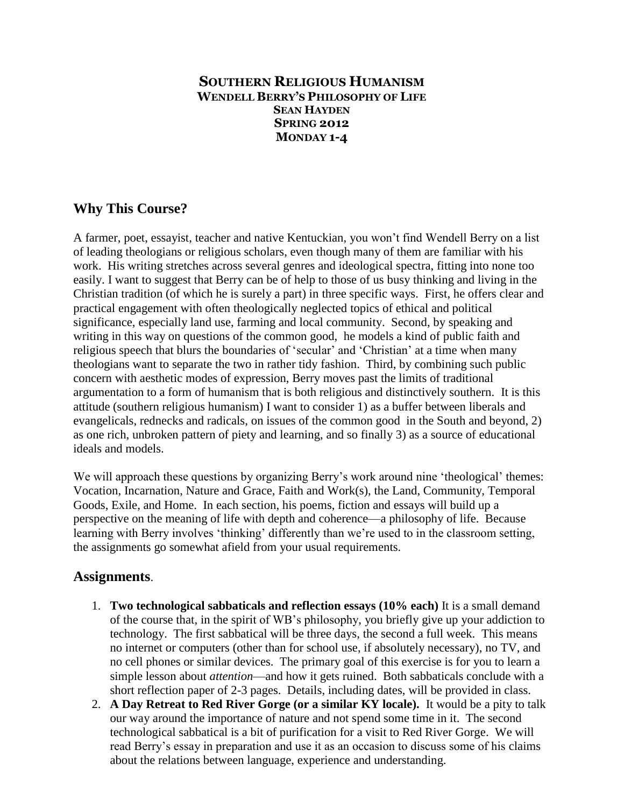## **SOUTHERN RELIGIOUS HUMANISM WENDELL BERRY'S PHILOSOPHY OF LIFE SEAN HAYDEN SPRING 2012 MONDAY 1-4**

## **Why This Course?**

A farmer, poet, essayist, teacher and native Kentuckian, you won"t find Wendell Berry on a list of leading theologians or religious scholars, even though many of them are familiar with his work. His writing stretches across several genres and ideological spectra, fitting into none too easily. I want to suggest that Berry can be of help to those of us busy thinking and living in the Christian tradition (of which he is surely a part) in three specific ways. First, he offers clear and practical engagement with often theologically neglected topics of ethical and political significance, especially land use, farming and local community. Second, by speaking and writing in this way on questions of the common good, he models a kind of public faith and religious speech that blurs the boundaries of "secular" and "Christian" at a time when many theologians want to separate the two in rather tidy fashion. Third, by combining such public concern with aesthetic modes of expression, Berry moves past the limits of traditional argumentation to a form of humanism that is both religious and distinctively southern. It is this attitude (southern religious humanism) I want to consider 1) as a buffer between liberals and evangelicals, rednecks and radicals, on issues of the common good in the South and beyond, 2) as one rich, unbroken pattern of piety and learning, and so finally 3) as a source of educational ideals and models.

We will approach these questions by organizing Berry's work around nine 'theological' themes: Vocation, Incarnation, Nature and Grace, Faith and Work(s), the Land, Community, Temporal Goods, Exile, and Home. In each section, his poems, fiction and essays will build up a perspective on the meaning of life with depth and coherence—a philosophy of life. Because learning with Berry involves 'thinking' differently than we're used to in the classroom setting, the assignments go somewhat afield from your usual requirements.

## **Assignments**.

- 1. **Two technological sabbaticals and reflection essays (10% each)** It is a small demand of the course that, in the spirit of WB"s philosophy, you briefly give up your addiction to technology. The first sabbatical will be three days, the second a full week. This means no internet or computers (other than for school use, if absolutely necessary), no TV, and no cell phones or similar devices. The primary goal of this exercise is for you to learn a simple lesson about *attention*—and how it gets ruined. Both sabbaticals conclude with a short reflection paper of 2-3 pages. Details, including dates, will be provided in class.
- 2. **A Day Retreat to Red River Gorge (or a similar KY locale).** It would be a pity to talk our way around the importance of nature and not spend some time in it. The second technological sabbatical is a bit of purification for a visit to Red River Gorge. We will read Berry"s essay in preparation and use it as an occasion to discuss some of his claims about the relations between language, experience and understanding.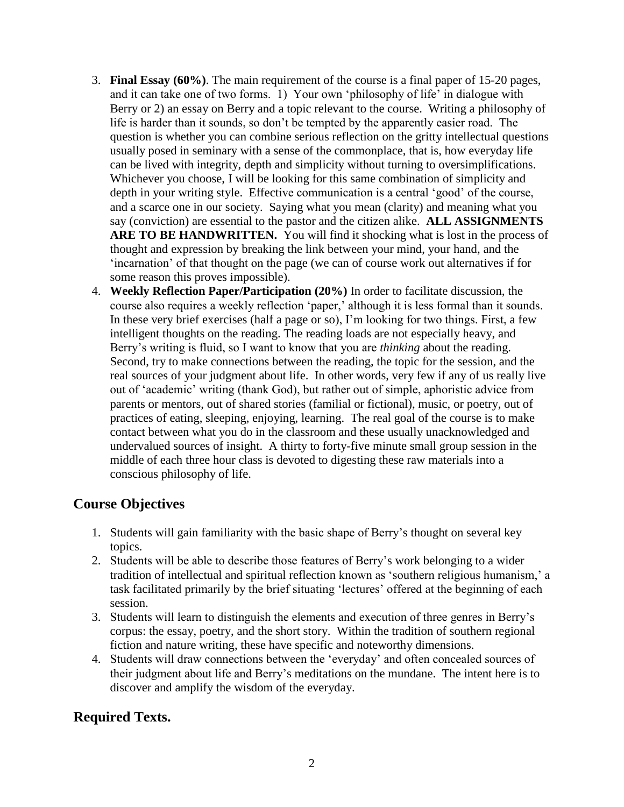- 3. **Final Essay (60%)**. The main requirement of the course is a final paper of 15-20 pages, and it can take one of two forms. 1) Your own "philosophy of life" in dialogue with Berry or 2) an essay on Berry and a topic relevant to the course. Writing a philosophy of life is harder than it sounds, so don't be tempted by the apparently easier road. The question is whether you can combine serious reflection on the gritty intellectual questions usually posed in seminary with a sense of the commonplace, that is, how everyday life can be lived with integrity, depth and simplicity without turning to oversimplifications. Whichever you choose, I will be looking for this same combination of simplicity and depth in your writing style. Effective communication is a central "good" of the course, and a scarce one in our society. Saying what you mean (clarity) and meaning what you say (conviction) are essential to the pastor and the citizen alike. **ALL ASSIGNMENTS**  ARE TO BE HANDWRITTEN. You will find it shocking what is lost in the process of thought and expression by breaking the link between your mind, your hand, and the "incarnation" of that thought on the page (we can of course work out alternatives if for some reason this proves impossible).
- 4. **Weekly Reflection Paper/Participation (20%)** In order to facilitate discussion, the course also requires a weekly reflection 'paper,' although it is less formal than it sounds. In these very brief exercises (half a page or so), I"m looking for two things. First, a few intelligent thoughts on the reading. The reading loads are not especially heavy, and Berry"s writing is fluid, so I want to know that you are *thinking* about the reading. Second, try to make connections between the reading, the topic for the session, and the real sources of your judgment about life. In other words, very few if any of us really live out of "academic" writing (thank God), but rather out of simple, aphoristic advice from parents or mentors, out of shared stories (familial or fictional), music, or poetry, out of practices of eating, sleeping, enjoying, learning. The real goal of the course is to make contact between what you do in the classroom and these usually unacknowledged and undervalued sources of insight. A thirty to forty-five minute small group session in the middle of each three hour class is devoted to digesting these raw materials into a conscious philosophy of life.

# **Course Objectives**

- 1. Students will gain familiarity with the basic shape of Berry"s thought on several key topics.
- 2. Students will be able to describe those features of Berry"s work belonging to a wider tradition of intellectual and spiritual reflection known as 'southern religious humanism,' a task facilitated primarily by the brief situating "lectures" offered at the beginning of each session.
- 3. Students will learn to distinguish the elements and execution of three genres in Berry"s corpus: the essay, poetry, and the short story. Within the tradition of southern regional fiction and nature writing, these have specific and noteworthy dimensions.
- 4. Students will draw connections between the "everyday" and often concealed sources of their judgment about life and Berry"s meditations on the mundane. The intent here is to discover and amplify the wisdom of the everyday.

# **Required Texts.**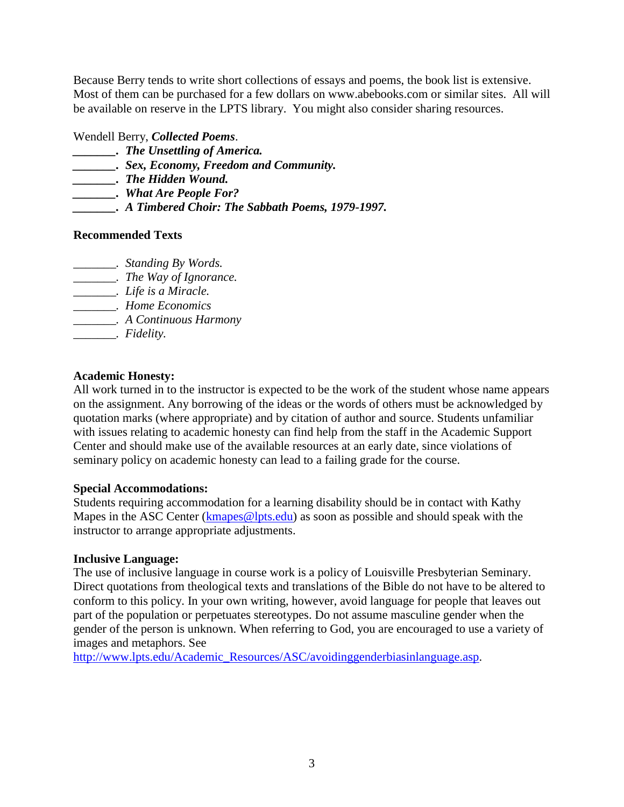Because Berry tends to write short collections of essays and poems, the book list is extensive. Most of them can be purchased for a few dollars on www.abebooks.com or similar sites. All will be available on reserve in the LPTS library. You might also consider sharing resources.

Wendell Berry, *Collected Poems*.

- *\_\_\_\_\_\_\_. The Unsettling of America.*
- *\_\_\_\_\_\_\_. Sex, Economy, Freedom and Community.*
- *\_\_\_\_\_\_\_. The Hidden Wound.*
- *\_\_\_\_\_\_\_. What Are People For?*
- *\_\_\_\_\_\_\_. A Timbered Choir: The Sabbath Poems, 1979-1997.*

## **Recommended Texts**

- *\_\_\_\_\_\_\_. Standing By Words.*
- *\_\_\_\_\_\_\_. The Way of Ignorance.*
- *\_\_\_\_\_\_\_. Life is a Miracle.*
- *\_\_\_\_\_\_\_. Home Economics*
- *\_\_\_\_\_\_\_. A Continuous Harmony*
- *\_\_\_\_\_\_\_. Fidelity.*

## **Academic Honesty:**

All work turned in to the instructor is expected to be the work of the student whose name appears on the assignment. Any borrowing of the ideas or the words of others must be acknowledged by quotation marks (where appropriate) and by citation of author and source. Students unfamiliar with issues relating to academic honesty can find help from the staff in the Academic Support Center and should make use of the available resources at an early date, since violations of seminary policy on academic honesty can lead to a failing grade for the course.

#### **Special Accommodations:**

Students requiring accommodation for a learning disability should be in contact with Kathy Mapes in the ASC Center [\(kmapes@lpts.edu\)](mailto:kmapes@lpts.edu) as soon as possible and should speak with the instructor to arrange appropriate adjustments.

#### **Inclusive Language:**

The use of inclusive language in course work is a policy of Louisville Presbyterian Seminary. Direct quotations from theological texts and translations of the Bible do not have to be altered to conform to this policy. In your own writing, however, avoid language for people that leaves out part of the population or perpetuates stereotypes. Do not assume masculine gender when the gender of the person is unknown. When referring to God, you are encouraged to use a variety of images and metaphors. See

[http://www.lpts.edu/Academic\\_Resources/ASC/avoidinggenderbiasinlanguage.asp.](http://www.lpts.edu/Academic_Resources/ASC/avoidinggenderbiasinlanguage.asp)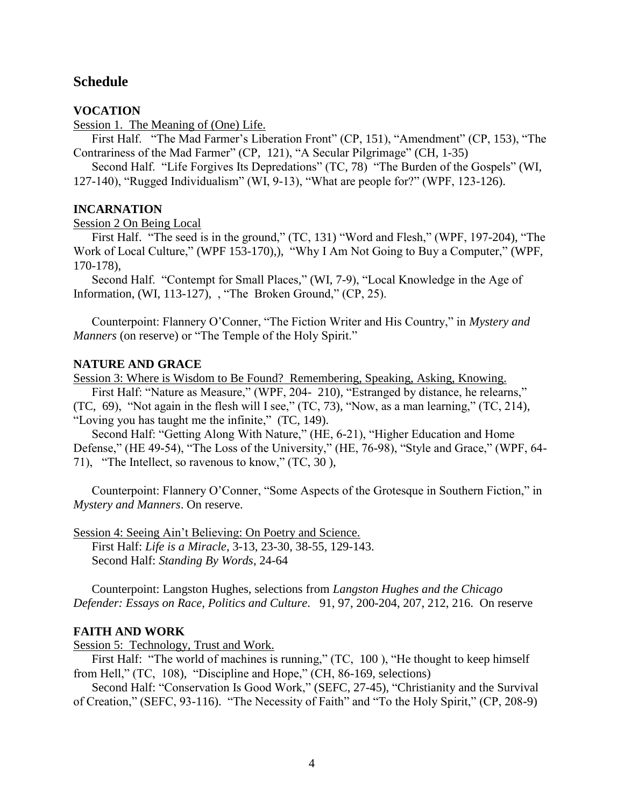## **Schedule**

#### **VOCATION**

Session 1. The Meaning of (One) Life.

First Half. "The Mad Farmer's Liberation Front" (CP, 151), "Amendment" (CP, 153), "The Contrariness of the Mad Farmer" (CP, 121), "A Secular Pilgrimage" (CH, 1-35)

Second Half. "Life Forgives Its Depredations" (TC, 78) "The Burden of the Gospels" (WI, 127-140), "Rugged Individualism" (WI, 9-13), "What are people for?" (WPF, 123-126).

#### **INCARNATION**

Session 2 On Being Local

First Half. "The seed is in the ground," (TC, 131) "Word and Flesh," (WPF, 197-204), "The Work of Local Culture," (WPF 153-170),), "Why I Am Not Going to Buy a Computer," (WPF, 170-178),

Second Half. "Contempt for Small Places," (WI, 7-9), "Local Knowledge in the Age of Information, (WI, 113-127), , "The Broken Ground," (CP, 25).

Counterpoint: Flannery O"Conner, "The Fiction Writer and His Country," in *Mystery and Manners* (on reserve) or "The Temple of the Holy Spirit."

#### **NATURE AND GRACE**

Session 3: Where is Wisdom to Be Found? Remembering, Speaking, Asking, Knowing.

First Half: "Nature as Measure," (WPF, 204- 210), "Estranged by distance, he relearns,"

(TC, 69), "Not again in the flesh will I see," (TC, 73), "Now, as a man learning," (TC, 214), "Loving you has taught me the infinite," (TC, 149).

Second Half: "Getting Along With Nature," (HE, 6-21), "Higher Education and Home Defense," (HE 49-54), "The Loss of the University," (HE, 76-98), "Style and Grace," (WPF, 64- 71), "The Intellect, so ravenous to know," (TC, 30 ),

Counterpoint: Flannery O"Conner, "Some Aspects of the Grotesque in Southern Fiction," in *Mystery and Manners*. On reserve.

Session 4: Seeing Ain"t Believing: On Poetry and Science. First Half: *Life is a Miracle*, 3-13, 23-30, 38-55, 129-143. Second Half: *Standing By Words*, 24-64

Counterpoint: Langston Hughes, selections from *Langston Hughes and the Chicago Defender: Essays on Race, Politics and Culture*. 91, 97, 200-204, 207, 212, 216. On reserve

#### **FAITH AND WORK**

Session 5: Technology, Trust and Work.

First Half: "The world of machines is running," (TC, 100 ), "He thought to keep himself from Hell," (TC, 108), "Discipline and Hope," (CH, 86-169, selections)

Second Half: "Conservation Is Good Work," (SEFC, 27-45), "Christianity and the Survival of Creation," (SEFC, 93-116). "The Necessity of Faith" and "To the Holy Spirit," (CP, 208-9)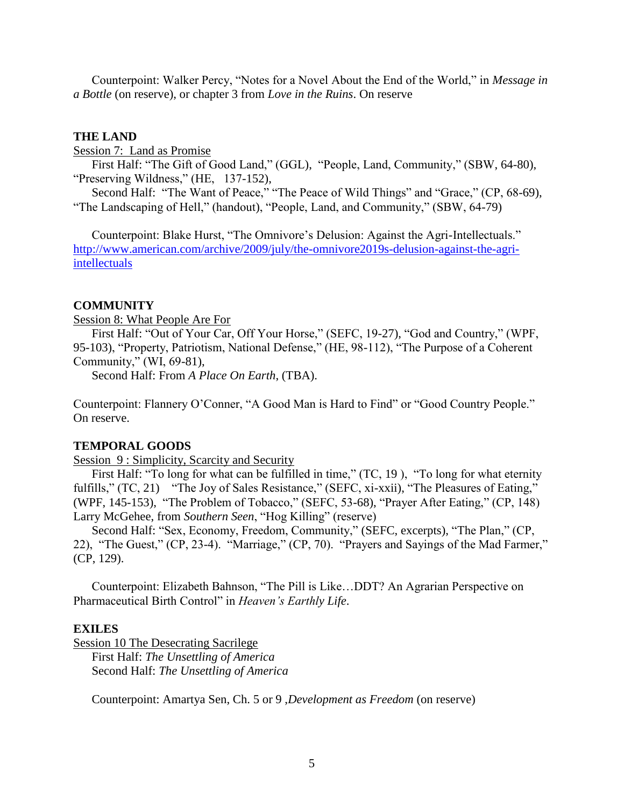Counterpoint: Walker Percy, "Notes for a Novel About the End of the World," in *Message in a Bottle* (on reserve), or chapter 3 from *Love in the Ruins*. On reserve

#### **THE LAND**

Session 7: Land as Promise

First Half: "The Gift of Good Land," (GGL), "People, Land, Community," (SBW, 64-80), "Preserving Wildness," (HE, 137-152),

Second Half: "The Want of Peace," "The Peace of Wild Things" and "Grace," (CP, 68-69), "The Landscaping of Hell," (handout), "People, Land, and Community," (SBW, 64-79)

Counterpoint: Blake Hurst, "The Omnivore's Delusion: Against the Agri-Intellectuals." [http://www.american.com/archive/2009/july/the-omnivore2019s-delusion-against-the-agri](http://www.american.com/archive/2009/july/the-omnivore2019s-delusion-against-the-agri-intellectuals)[intellectuals](http://www.american.com/archive/2009/july/the-omnivore2019s-delusion-against-the-agri-intellectuals)

#### **COMMUNITY**

Session 8: What People Are For

First Half: "Out of Your Car, Off Your Horse," (SEFC, 19-27), "God and Country," (WPF, 95-103), "Property, Patriotism, National Defense," (HE, 98-112), "The Purpose of a Coherent Community," (WI, 69-81),

Second Half: From *A Place On Earth*, (TBA).

Counterpoint: Flannery O"Conner, "A Good Man is Hard to Find" or "Good Country People." On reserve.

#### **TEMPORAL GOODS**

Session 9 : Simplicity, Scarcity and Security

First Half: "To long for what can be fulfilled in time," (TC, 19), "To long for what eternity fulfills," (TC, 21) "The Joy of Sales Resistance," (SEFC, xi-xxii), "The Pleasures of Eating," (WPF, 145-153), "The Problem of Tobacco," (SEFC, 53-68), "Prayer After Eating," (CP, 148) Larry McGehee, from *Southern Seen*, "Hog Killing" (reserve)

Second Half: "Sex, Economy, Freedom, Community," (SEFC, excerpts), "The Plan," (CP, 22), "The Guest," (CP, 23-4). "Marriage," (CP, 70). "Prayers and Sayings of the Mad Farmer," (CP, 129).

Counterpoint: Elizabeth Bahnson, "The Pill is Like…DDT? An Agrarian Perspective on Pharmaceutical Birth Control" in *Heaven's Earthly Life*.

#### **EXILES**

Session 10 The Desecrating Sacrilege

First Half: *The Unsettling of America* Second Half: *The Unsettling of America*

Counterpoint: Amartya Sen, Ch. 5 or 9 ,*Development as Freedom* (on reserve)